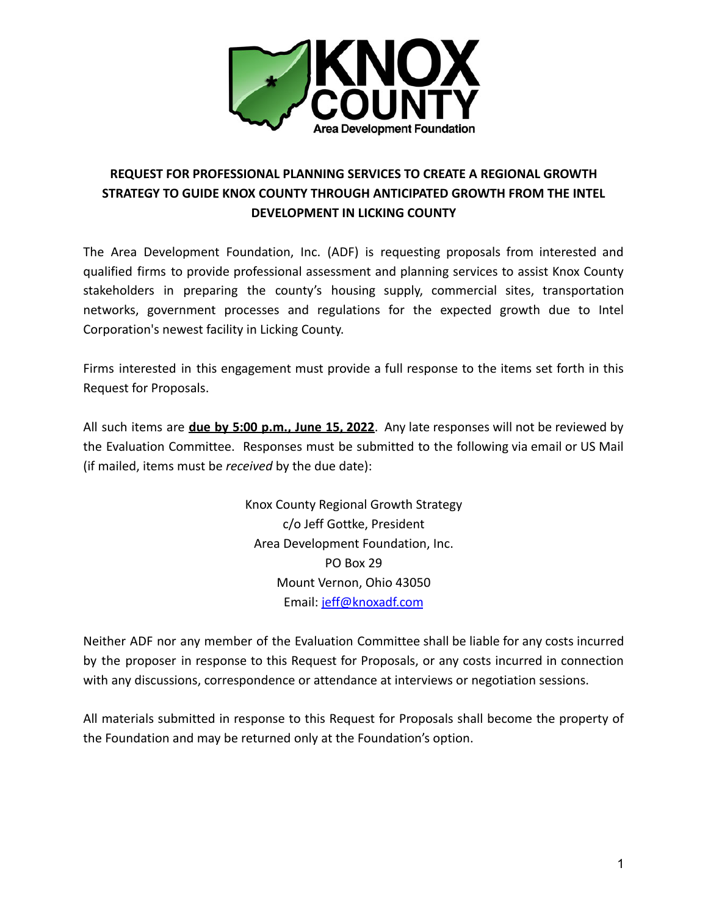

# **REQUEST FOR PROFESSIONAL PLANNING SERVICES TO CREATE A REGIONAL GROWTH STRATEGY TO GUIDE KNOX COUNTY THROUGH ANTICIPATED GROWTH FROM THE INTEL DEVELOPMENT IN LICKING COUNTY**

The Area Development Foundation, Inc. (ADF) is requesting proposals from interested and qualified firms to provide professional assessment and planning services to assist Knox County stakeholders in preparing the county's housing supply, commercial sites, transportation networks, government processes and regulations for the expected growth due to Intel Corporation's newest facility in Licking County.

Firms interested in this engagement must provide a full response to the items set forth in this Request for Proposals.

All such items are **due by 5:00 p.m., June 15, 2022**. Any late responses will not be reviewed by the Evaluation Committee. Responses must be submitted to the following via email or US Mail (if mailed, items must be *received* by the due date):

> Knox County Regional Growth Strategy c/o Jeff Gottke, President Area Development Foundation, Inc. PO Box 29 Mount Vernon, Ohio 43050 Email: [jeff@knoxadf.com](mailto:jeff@knoxadf.com)

Neither ADF nor any member of the Evaluation Committee shall be liable for any costs incurred by the proposer in response to this Request for Proposals, or any costs incurred in connection with any discussions, correspondence or attendance at interviews or negotiation sessions.

All materials submitted in response to this Request for Proposals shall become the property of the Foundation and may be returned only at the Foundation's option.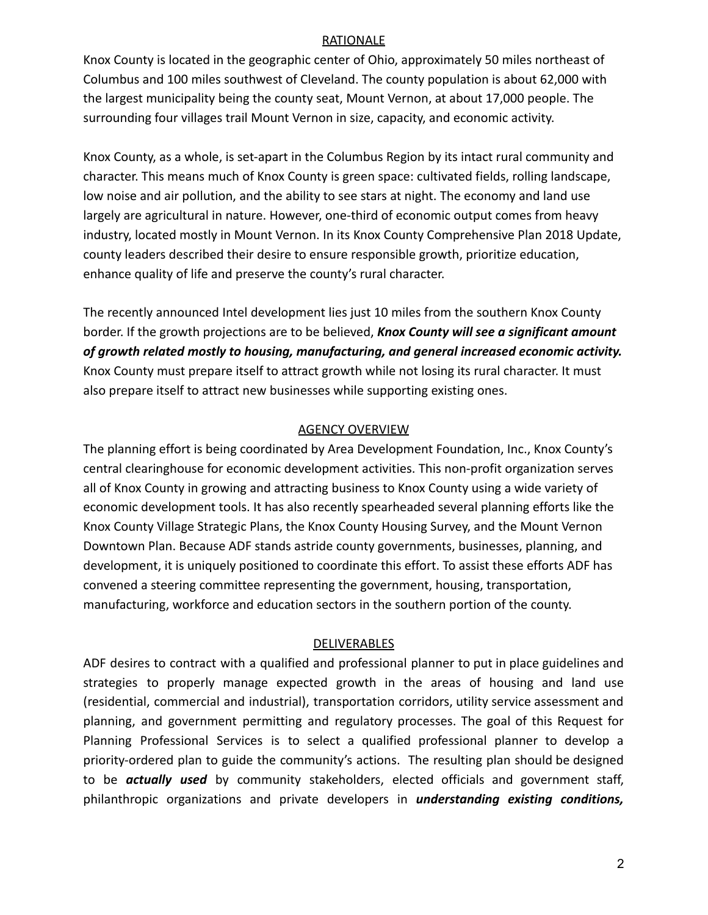#### RATIONALE

Knox County is located in the geographic center of Ohio, approximately 50 miles northeast of Columbus and 100 miles southwest of Cleveland. The county population is about 62,000 with the largest municipality being the county seat, Mount Vernon, at about 17,000 people. The surrounding four villages trail Mount Vernon in size, capacity, and economic activity.

Knox County, as a whole, is set-apart in the Columbus Region by its intact rural community and character. This means much of Knox County is green space: cultivated fields, rolling landscape, low noise and air pollution, and the ability to see stars at night. The economy and land use largely are agricultural in nature. However, one-third of economic output comes from heavy industry, located mostly in Mount Vernon. In its Knox County Comprehensive Plan 2018 Update, county leaders described their desire to ensure responsible growth, prioritize education, enhance quality of life and preserve the county's rural character.

The recently announced Intel development lies just 10 miles from the southern Knox County border. If the growth projections are to be believed, *Knox County will see a significant amount of growth related mostly to housing, manufacturing, and general increased economic activity.* Knox County must prepare itself to attract growth while not losing its rural character. It must also prepare itself to attract new businesses while supporting existing ones.

#### AGENCY OVERVIEW

The planning effort is being coordinated by Area Development Foundation, Inc., Knox County's central clearinghouse for economic development activities. This non-profit organization serves all of Knox County in growing and attracting business to Knox County using a wide variety of economic development tools. It has also recently spearheaded several planning efforts like the Knox County Village Strategic Plans, the Knox County Housing Survey, and the Mount Vernon Downtown Plan. Because ADF stands astride county governments, businesses, planning, and development, it is uniquely positioned to coordinate this effort. To assist these efforts ADF has convened a steering committee representing the government, housing, transportation, manufacturing, workforce and education sectors in the southern portion of the county.

#### DELIVERABLES

ADF desires to contract with a qualified and professional planner to put in place guidelines and strategies to properly manage expected growth in the areas of housing and land use (residential, commercial and industrial), transportation corridors, utility service assessment and planning, and government permitting and regulatory processes. The goal of this Request for Planning Professional Services is to select a qualified professional planner to develop a priority-ordered plan to guide the community's actions. The resulting plan should be designed to be *actually used* by community stakeholders, elected officials and government staff, philanthropic organizations and private developers in *understanding existing conditions,*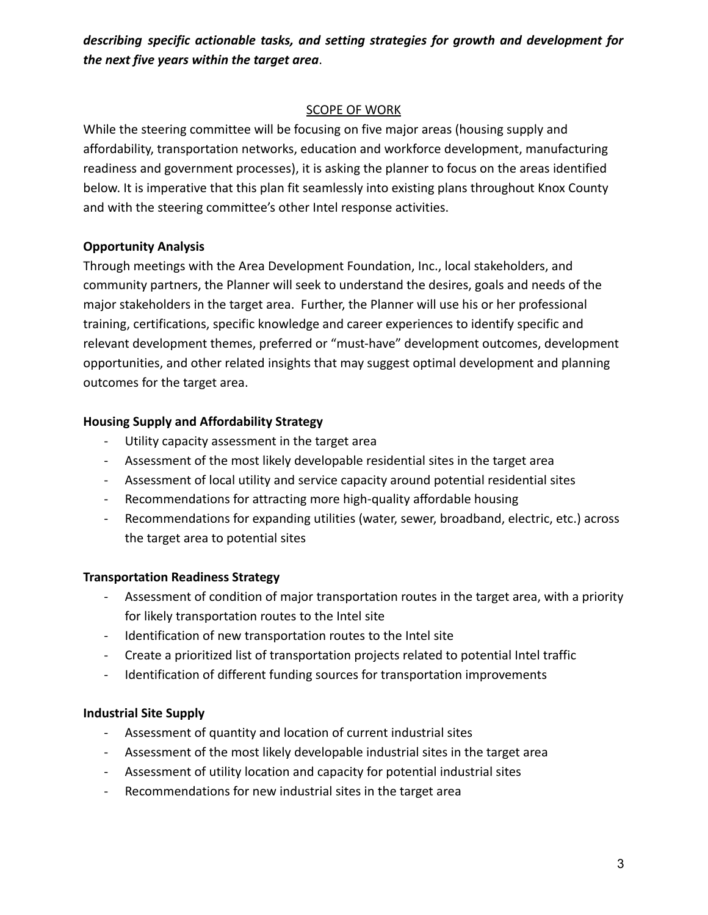*describing specific actionable tasks, and setting strategies for growth and development for the next five years within the target area*.

#### SCOPE OF WORK

While the steering committee will be focusing on five major areas (housing supply and affordability, transportation networks, education and workforce development, manufacturing readiness and government processes), it is asking the planner to focus on the areas identified below. It is imperative that this plan fit seamlessly into existing plans throughout Knox County and with the steering committee's other Intel response activities.

#### **Opportunity Analysis**

Through meetings with the Area Development Foundation, Inc., local stakeholders, and community partners, the Planner will seek to understand the desires, goals and needs of the major stakeholders in the target area. Further, the Planner will use his or her professional training, certifications, specific knowledge and career experiences to identify specific and relevant development themes, preferred or "must-have" development outcomes, development opportunities, and other related insights that may suggest optimal development and planning outcomes for the target area.

## **Housing Supply and Affordability Strategy**

- Utility capacity assessment in the target area
- Assessment of the most likely developable residential sites in the target area
- Assessment of local utility and service capacity around potential residential sites
- Recommendations for attracting more high-quality affordable housing
- Recommendations for expanding utilities (water, sewer, broadband, electric, etc.) across the target area to potential sites

## **Transportation Readiness Strategy**

- Assessment of condition of major transportation routes in the target area, with a priority for likely transportation routes to the Intel site
- Identification of new transportation routes to the Intel site
- Create a prioritized list of transportation projects related to potential Intel traffic
- Identification of different funding sources for transportation improvements

## **Industrial Site Supply**

- Assessment of quantity and location of current industrial sites
- Assessment of the most likely developable industrial sites in the target area
- Assessment of utility location and capacity for potential industrial sites
- Recommendations for new industrial sites in the target area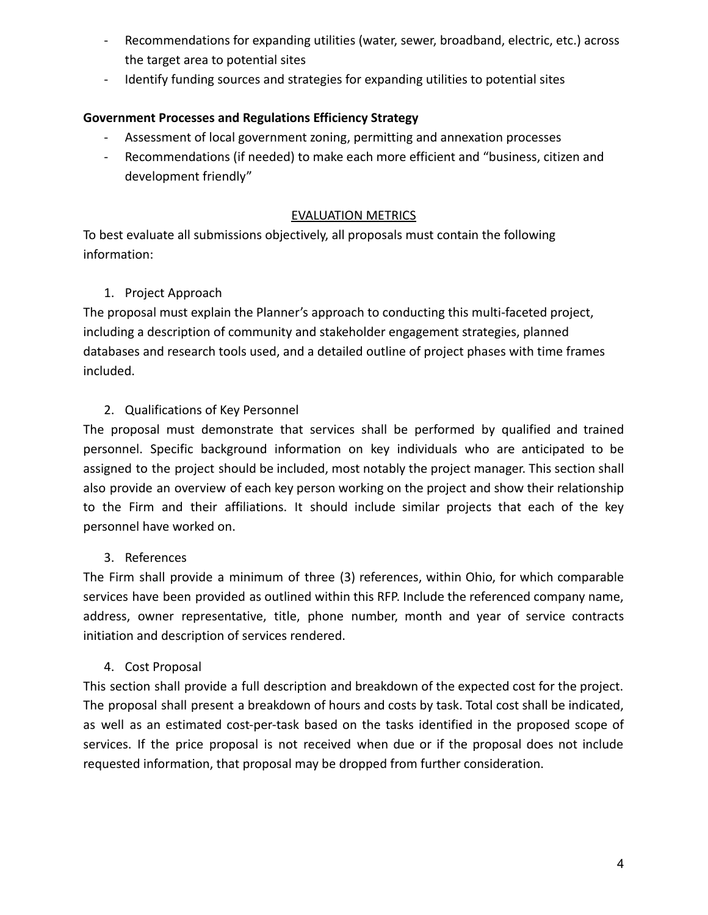- Recommendations for expanding utilities (water, sewer, broadband, electric, etc.) across the target area to potential sites
- Identify funding sources and strategies for expanding utilities to potential sites

## **Government Processes and Regulations Efficiency Strategy**

- Assessment of local government zoning, permitting and annexation processes
- Recommendations (if needed) to make each more efficient and "business, citizen and development friendly"

#### EVALUATION METRICS

To best evaluate all submissions objectively, all proposals must contain the following information:

## 1. Project Approach

The proposal must explain the Planner's approach to conducting this multi-faceted project, including a description of community and stakeholder engagement strategies, planned databases and research tools used, and a detailed outline of project phases with time frames included.

## 2. Qualifications of Key Personnel

The proposal must demonstrate that services shall be performed by qualified and trained personnel. Specific background information on key individuals who are anticipated to be assigned to the project should be included, most notably the project manager. This section shall also provide an overview of each key person working on the project and show their relationship to the Firm and their affiliations. It should include similar projects that each of the key personnel have worked on.

## 3. References

The Firm shall provide a minimum of three (3) references, within Ohio, for which comparable services have been provided as outlined within this RFP. Include the referenced company name, address, owner representative, title, phone number, month and year of service contracts initiation and description of services rendered.

## 4. Cost Proposal

This section shall provide a full description and breakdown of the expected cost for the project. The proposal shall present a breakdown of hours and costs by task. Total cost shall be indicated, as well as an estimated cost-per-task based on the tasks identified in the proposed scope of services. If the price proposal is not received when due or if the proposal does not include requested information, that proposal may be dropped from further consideration.